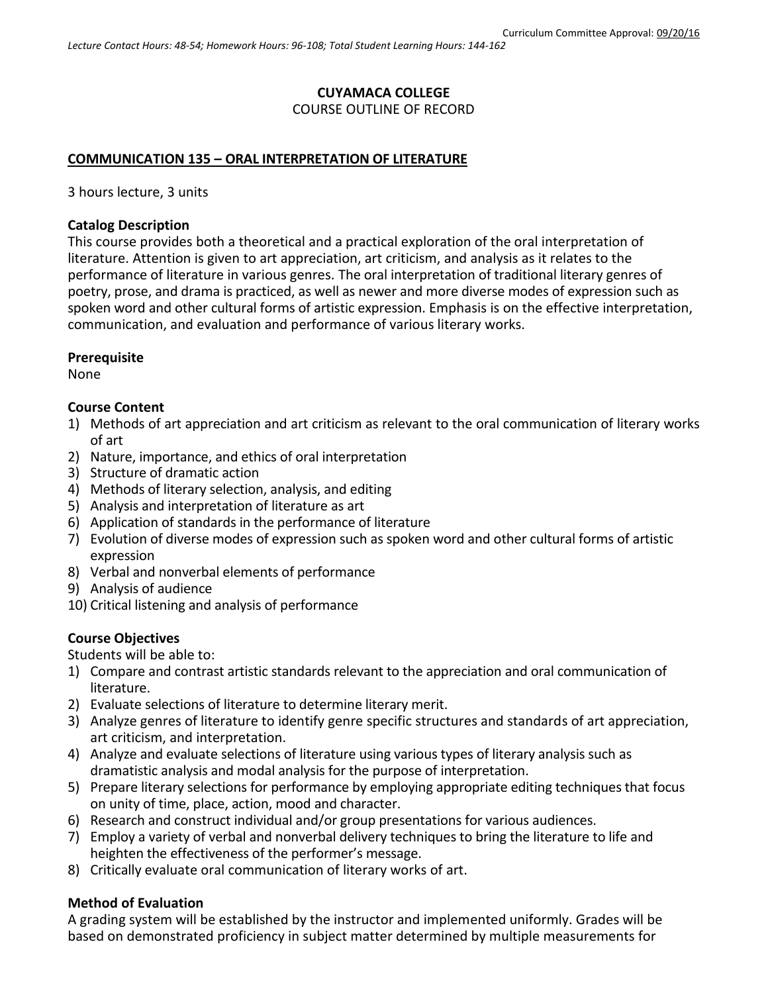# **CUYAMACA COLLEGE**

#### COURSE OUTLINE OF RECORD

#### **COMMUNICATION 135 – ORAL INTERPRETATION OF LITERATURE**

3 hours lecture, 3 units

#### **Catalog Description**

This course provides both a theoretical and a practical exploration of the oral interpretation of literature. Attention is given to art appreciation, art criticism, and analysis as it relates to the performance of literature in various genres. The oral interpretation of traditional literary genres of poetry, prose, and drama is practiced, as well as newer and more diverse modes of expression such as spoken word and other cultural forms of artistic expression. Emphasis is on the effective interpretation, communication, and evaluation and performance of various literary works.

#### **Prerequisite**

None

#### **Course Content**

- 1) Methods of art appreciation and art criticism as relevant to the oral communication of literary works of art
- 2) Nature, importance, and ethics of oral interpretation
- 3) Structure of dramatic action
- 4) Methods of literary selection, analysis, and editing
- 5) Analysis and interpretation of literature as art
- 6) Application of standards in the performance of literature
- 7) Evolution of diverse modes of expression such as spoken word and other cultural forms of artistic expression
- 8) Verbal and nonverbal elements of performance
- 9) Analysis of audience
- 10) Critical listening and analysis of performance

## **Course Objectives**

Students will be able to:

- 1) Compare and contrast artistic standards relevant to the appreciation and oral communication of literature.
- 2) Evaluate selections of literature to determine literary merit.
- 3) Analyze genres of literature to identify genre specific structures and standards of art appreciation, art criticism, and interpretation.
- 4) Analyze and evaluate selections of literature using various types of literary analysis such as dramatistic analysis and modal analysis for the purpose of interpretation.
- 5) Prepare literary selections for performance by employing appropriate editing techniques that focus on unity of time, place, action, mood and character.
- 6) Research and construct individual and/or group presentations for various audiences.
- 7) Employ a variety of verbal and nonverbal delivery techniques to bring the literature to life and heighten the effectiveness of the performer's message.
- 8) Critically evaluate oral communication of literary works of art.

## **Method of Evaluation**

A grading system will be established by the instructor and implemented uniformly. Grades will be based on demonstrated proficiency in subject matter determined by multiple measurements for